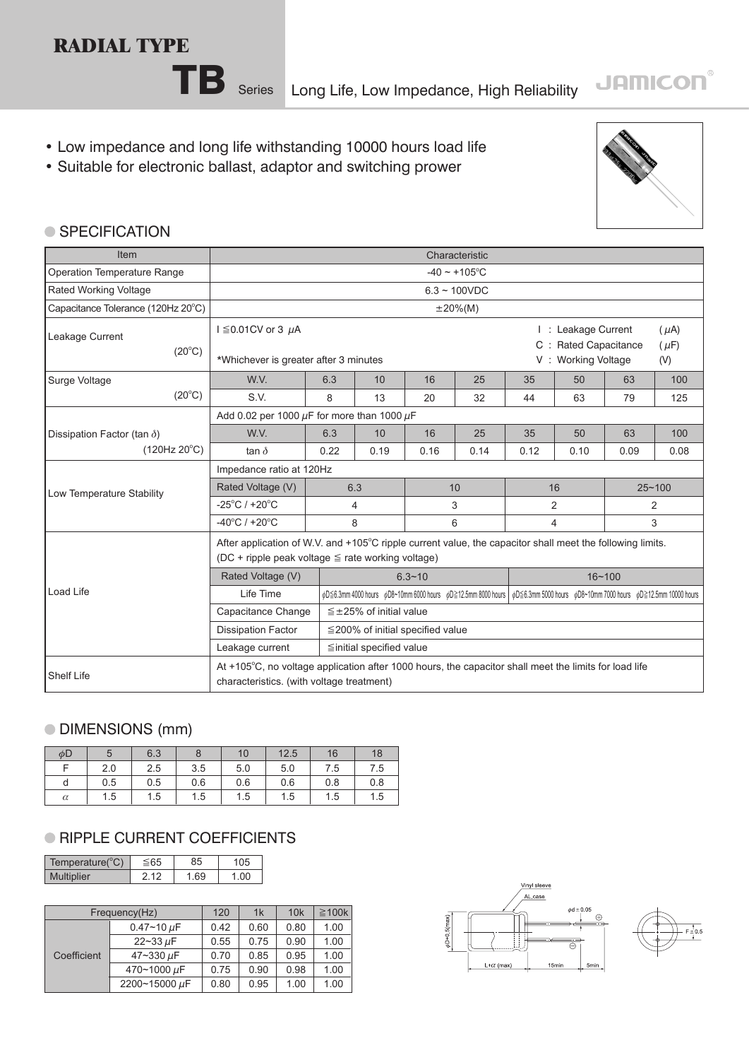### **RADIAL TYPE**



TB Series Long Life, Low Impedance, High Reliability

- Low impedance and long life withstanding 10000 hours load life
- Suitable for electronic ballast, adaptor and switching prower



#### ● SPECIFICATION

| Item                               | Characteristic                                                                                                                                                      |                    |                                                                   |            |                                                                                                                              |                |      |      |                |  |  |
|------------------------------------|---------------------------------------------------------------------------------------------------------------------------------------------------------------------|--------------------|-------------------------------------------------------------------|------------|------------------------------------------------------------------------------------------------------------------------------|----------------|------|------|----------------|--|--|
| Operation Temperature Range        |                                                                                                                                                                     | $-40 \sim +105$ °C |                                                                   |            |                                                                                                                              |                |      |      |                |  |  |
| Rated Working Voltage              |                                                                                                                                                                     | $6.3 - 100VDC$     |                                                                   |            |                                                                                                                              |                |      |      |                |  |  |
| Capacitance Tolerance (120Hz 20°C) |                                                                                                                                                                     | $\pm 20\%$ (M)     |                                                                   |            |                                                                                                                              |                |      |      |                |  |  |
| Leakage Current<br>$(20^{\circ}C)$ | $I \leq 0.01$ CV or 3 $\mu$ A<br>*Whichever is greater after 3 minutes                                                                                              |                    | I: Leakage Current<br>C : Rated Capacitance<br>V: Working Voltage |            | $(\mu A)$<br>$(\mu F)$<br>(V)                                                                                                |                |      |      |                |  |  |
| Surge Voltage                      | W.V.                                                                                                                                                                | 6.3                | 10                                                                | 16         | 25                                                                                                                           | 35             | 50   | 63   | 100            |  |  |
| $(20^{\circ}C)$                    | S.V.                                                                                                                                                                | 8                  | 13                                                                | 20         | 32                                                                                                                           | 44             | 63   | 79   | 125            |  |  |
|                                    | Add 0.02 per 1000 $\mu$ F for more than 1000 $\mu$ F                                                                                                                |                    |                                                                   |            |                                                                                                                              |                |      |      |                |  |  |
| Dissipation Factor (tan $\delta$ ) | W.V.                                                                                                                                                                | 6.3                | 10                                                                | 16         | 25                                                                                                                           | 35             | 50   | 63   | 100            |  |  |
| (120Hz 20°C)                       | tan $\delta$                                                                                                                                                        | 0.22               | 0.19                                                              | 0.16       | 0.14                                                                                                                         | 0.12           | 0.10 | 0.09 | 0.08           |  |  |
|                                    | Impedance ratio at 120Hz                                                                                                                                            |                    |                                                                   |            |                                                                                                                              |                |      |      |                |  |  |
| Low Temperature Stability          | Rated Voltage (V)                                                                                                                                                   |                    | 6.3                                                               | 10         |                                                                                                                              | 16             |      |      | $25 - 100$     |  |  |
|                                    | $-25^{\circ}$ C / +20 $^{\circ}$ C                                                                                                                                  |                    | 4                                                                 | 3          |                                                                                                                              | $\overline{2}$ |      |      | $\overline{2}$ |  |  |
|                                    | $-40^{\circ}$ C / +20 $^{\circ}$ C                                                                                                                                  |                    | 8                                                                 | 6          |                                                                                                                              | $\overline{4}$ |      |      | 3              |  |  |
|                                    | After application of W.V. and +105°C ripple current value, the capacitor shall meet the following limits.<br>(DC + ripple peak voltage $\leq$ rate working voltage) |                    |                                                                   |            |                                                                                                                              |                |      |      |                |  |  |
|                                    | Rated Voltage (V)                                                                                                                                                   |                    |                                                                   | $6.3 - 10$ |                                                                                                                              | $16 - 100$     |      |      |                |  |  |
| <b>Load Life</b>                   | Life Time                                                                                                                                                           |                    |                                                                   |            | pD≦6.3mm 4000 hours pD8~10mm 6000 hours pD≧12.5mm 8000 hours   pD≦6.3mm 5000 hours pD8~10mm 7000 hours pD≧12.5mm 10000 hours |                |      |      |                |  |  |
|                                    | Capacitance Change                                                                                                                                                  |                    | $\leq$ ±25% of initial value                                      |            |                                                                                                                              |                |      |      |                |  |  |
|                                    | <b>Dissipation Factor</b>                                                                                                                                           |                    | ≦200% of initial specified value                                  |            |                                                                                                                              |                |      |      |                |  |  |
|                                    | Leakage current                                                                                                                                                     |                    | $\leq$ initial specified value                                    |            |                                                                                                                              |                |      |      |                |  |  |
| <b>Shelf Life</b>                  | At +105°C, no voltage application after 1000 hours, the capacitor shall meet the limits for load life<br>characteristics. (with voltage treatment)                  |                    |                                                                   |            |                                                                                                                              |                |      |      |                |  |  |

#### DIMENSIONS (mm)

| $\phi$ D |     | 6.3 | 8   | 10  | 12.5 | 16  | 18  |
|----------|-----|-----|-----|-----|------|-----|-----|
|          | 2.0 | 2.5 | 3.5 | 5.0 | 5.0  | 7.5 | 7.5 |
| d        | 0.5 | 0.5 | 0.6 | 0.6 | 0.6  | 0.8 | 0.8 |
| $\alpha$ | 1.5 | 1.5 | 1.5 | 1.5 | 1.5  | 1.5 | 1.5 |

#### **RIPPLE CURRENT COEFFICIENTS**

| Temperature(°C) | 85 | 35 |
|-----------------|----|----|
| plier           | 69 | 0C |

|             | Frequency(Hz)     |      |      | 10k  | $\geq$ 100k |
|-------------|-------------------|------|------|------|-------------|
| Coefficient | $0.47 - 10 \mu F$ | 0.42 | 0.60 | 0.80 | 1.00        |
|             | $22 - 33 \mu F$   | 0.55 | 0.75 | 0.90 | 1.00        |
|             | 47~330 µF         | 0.70 | 0.85 | 0.95 | 1.00        |
|             | 470~1000 µF       | 0.75 | 0.90 | 0.98 | 1.00        |
|             | 2200~15000 µF     | 0.80 | 0.95 | 1.00 | 1.00        |



 $-0.5(m)$ 



## **JAMICON®**